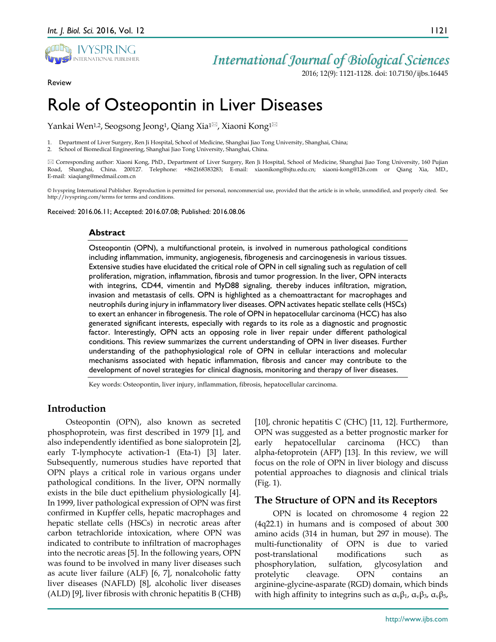

Review

## *International Journal of Biological Sciences*

2016; 12(9): 1121-1128. doi: 10.7150/ijbs.16445

# Role of Osteopontin in Liver Diseases

Yankai Wen<sup>1,2</sup>, Seogsong Jeong<sup>1</sup>, Qiang Xia<sup>1⊠</sup>, Xiaoni Kong<sup>1⊠</sup>

1. Department of Liver Surgery, Ren Ji Hospital, School of Medicine, Shanghai Jiao Tong University, Shanghai, China;

2. School of Biomedical Engineering, Shanghai Jiao Tong University, Shanghai, China.

 Corresponding author: Xiaoni Kong, PhD., Department of Liver Surgery, Ren Ji Hospital, School of Medicine, Shanghai Jiao Tong University, 160 Pujian Road, Shanghai, China. 200127. Telephone: +862168383283; E-mail: xiaonikong@sjtu.edu.cn; xiaoni-kong@126.com or Qiang Xia, MD., E-mail: xiaqiang@medmail.com.cn

© Ivyspring International Publisher. Reproduction is permitted for personal, noncommercial use, provided that the article is in whole, unmodified, and properly cited. See http://ivyspring.com/terms for terms and conditions.

Received: 2016.06.11; Accepted: 2016.07.08; Published: 2016.08.06

#### **Abstract**

Osteopontin (OPN), a multifunctional protein, is involved in numerous pathological conditions including inflammation, immunity, angiogenesis, fibrogenesis and carcinogenesis in various tissues. Extensive studies have elucidated the critical role of OPN in cell signaling such as regulation of cell proliferation, migration, inflammation, fibrosis and tumor progression. In the liver, OPN interacts with integrins, CD44, vimentin and MyD88 signaling, thereby induces infiltration, migration, invasion and metastasis of cells. OPN is highlighted as a chemoattractant for macrophages and neutrophils during injury in inflammatory liver diseases. OPN activates hepatic stellate cells (HSCs) to exert an enhancer in fibrogenesis. The role of OPN in hepatocellular carcinoma (HCC) has also generated significant interests, especially with regards to its role as a diagnostic and prognostic factor. Interestingly, OPN acts an opposing role in liver repair under different pathological conditions. This review summarizes the current understanding of OPN in liver diseases. Further understanding of the pathophysiological role of OPN in cellular interactions and molecular mechanisms associated with hepatic inflammation, fibrosis and cancer may contribute to the development of novel strategies for clinical diagnosis, monitoring and therapy of liver diseases.

Key words: Osteopontin, liver injury, inflammation, fibrosis, hepatocellular carcinoma.

## **Introduction**

Osteopontin (OPN), also known as secreted phosphoprotein, was first described in 1979 [1], and also independently identified as bone sialoprotein [2], early T-lymphocyte activation-1 (Eta-1) [3] later. Subsequently, numerous studies have reported that OPN plays a critical role in various organs under pathological conditions. In the liver, OPN normally exists in the bile duct epithelium physiologically [4]. In 1999, liver pathological expression of OPN was first confirmed in Kupffer cells, hepatic macrophages and hepatic stellate cells (HSCs) in necrotic areas after carbon tetrachloride intoxication, where OPN was indicated to contribute to infiltration of macrophages into the necrotic areas [5]. In the following years, OPN was found to be involved in many liver diseases such as acute liver failure (ALF) [6, 7], nonalcoholic fatty liver diseases (NAFLD) [8], alcoholic liver diseases (ALD) [9], liver fibrosis with chronic hepatitis B (CHB)

[10], chronic hepatitis C (CHC) [11, 12]. Furthermore, OPN was suggested as a better prognostic marker for early hepatocellular carcinoma (HCC) than alpha-fetoprotein (AFP) [13]. In this review, we will focus on the role of OPN in liver biology and discuss potential approaches to diagnosis and clinical trials (Fig. 1).

#### **The Structure of OPN and its Receptors**

OPN is located on chromosome 4 region 22 (4q22.1) in humans and is composed of about 300 amino acids (314 in human, but 297 in mouse). The multi-functionality of OPN is due to varied post-translational modifications such as phosphorylation, sulfation, glycosylation and protelytic cleavage. OPN contains an arginine-glycine-asparate (RGD) domain, which binds with high affinity to integrins such as  $\alpha_v\beta_1$ ,  $\alpha_v\beta_3$ ,  $\alpha_v\beta_5$ ,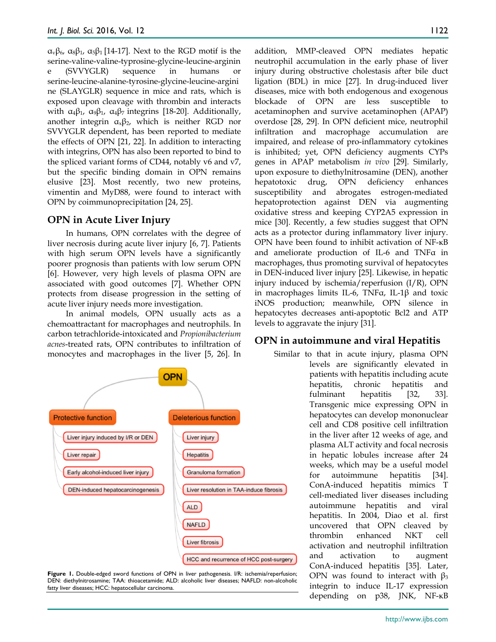αvβ6, α8β1, α5β<sup>1</sup> [14-17]. Next to the RGD motif is the serine-valine-valine-typrosine-glycine-leucine-arginin e (SVVYGLR) sequence in humans or serine-leucine-alanine-tyrosine-glycine-leucine-argini ne (SLAYGLR) sequence in mice and rats, which is exposed upon cleavage with thrombin and interacts with  $\alpha_4\beta_1$ ,  $\alpha_9\beta_1$ ,  $\alpha_4\beta_7$  integrins [18-20]. Additionally, another integrin  $\alpha_x\beta_z$ , which is neither RGD nor SVVYGLR dependent, has been reported to mediate the effects of OPN [21, 22]. In addition to interacting with integrins, OPN has also been reported to bind to the spliced variant forms of CD44, notably v6 and v7, but the specific binding domain in OPN remains elusive [23]. Most recently, two new proteins, vimentin and MyD88, were found to interact with OPN by coimmunoprecipitation [24, 25].

## **OPN in Acute Liver Injury**

In humans, OPN correlates with the degree of liver necrosis during acute liver injury [6, 7]. Patients with high serum OPN levels have a significantly poorer prognosis than patients with low serum OPN [6]. However, very high levels of plasma OPN are associated with good outcomes [7]. Whether OPN protects from disease progression in the setting of acute liver injury needs more investigation.

In animal models, OPN usually acts as a chemoattractant for macrophages and neutrophils. In carbon tetrachloride-intoxicated and *Propionibacterium acnes*-treated rats, OPN contributes to infiltration of monocytes and macrophages in the liver [5, 26]. In





addition, MMP-cleaved OPN mediates hepatic neutrophil accumulation in the early phase of liver injury during obstructive cholestasis after bile duct ligation (BDL) in mice [27]. In drug-induced liver diseases, mice with both endogenous and exogenous blockade of OPN are less susceptible to acetaminophen and survive acetaminophen (APAP) overdose [28, 29]. In OPN deficient mice, neutrophil infiltration and macrophage accumulation are impaired, and release of pro-inflammatory cytokines is inhibited; yet, OPN deficiency augments CYPs genes in APAP metabolism *in vivo* [29]. Similarly, upon exposure to diethylnitrosamine (DEN), another hepatotoxic drug, OPN deficiency enhances susceptibility and abrogates estrogen-mediated hepatoprotection against DEN via augmenting oxidative stress and keeping CYP2A5 expression in mice [30]. Recently, a few studies suggest that OPN acts as a protector during inflammatory liver injury. OPN have been found to inhibit activation of NF-κB and ameliorate production of IL-6 and TNFα in macrophages, thus promoting survival of hepatocytes in DEN-induced liver injury [25]. Likewise, in hepatic injury induced by ischemia/reperfusion (I/R), OPN in macrophages limits IL-6, TNFα, IL-1β and toxic iNOS production; meanwhile, OPN silence in hepatocytes decreases anti-apoptotic Bcl2 and ATP levels to aggravate the injury [31].

#### **OPN in autoimmune and viral Hepatitis**

Similar to that in acute injury, plasma OPN levels are significantly elevated in patients with hepatitis including acute hepatitis, chronic hepatitis and fulminant hepatitis [32, 33]. Transgenic mice expressing OPN in hepatocytes can develop mononuclear cell and CD8 positive cell infiltration in the liver after 12 weeks of age, and plasma ALT activity and focal necrosis in hepatic lobules increase after 24 weeks, which may be a useful model for autoimmune hepatitis [34]. ConA-induced hepatitis mimics T cell-mediated liver diseases including autoimmune hepatitis and viral hepatitis. In 2004, Diao et al. first uncovered that OPN cleaved by thrombin enhanced NKT cell activation and neutrophil infiltration and activation to augment ConA-induced hepatitis [35]. Later, OPN was found to interact with  $β_3$ integrin to induce IL-17 expression depending on p38, JNK, NF-κB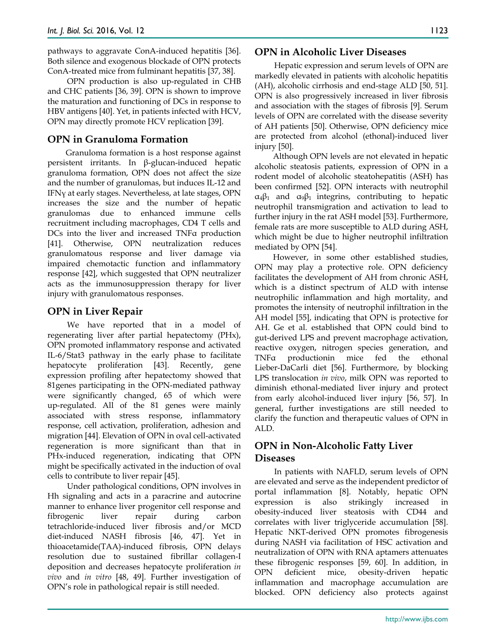pathways to aggravate ConA-induced hepatitis [36]. Both silence and exogenous blockade of OPN protects ConA-treated mice from fulminant hepatitis [37, 38].

OPN production is also up-regulated in CHB and CHC patients [36, 39]. OPN is shown to improve the maturation and functioning of DCs in response to HBV antigens [40]. Yet, in patients infected with HCV, OPN may directly promote HCV replication [39].

## **OPN in Granuloma Formation**

Granuloma formation is a host response against persistent irritants. In β-glucan-induced hepatic granuloma formation, OPN does not affect the size and the number of granulomas, but induces IL-12 and IFNγ at early stages. Nevertheless, at late stages, OPN increases the size and the number of hepatic granulomas due to enhanced immune cells recruitment including macrophages, CD4 T cells and DCs into the liver and increased TNFα production [41]. Otherwise, OPN neutralization reduces granulomatous response and liver damage via impaired chemotactic function and inflammatory response [42], which suggested that OPN neutralizer acts as the immunosuppression therapy for liver injury with granulomatous responses.

## **OPN in Liver Repair**

We have reported that in a model of regenerating liver after partial hepatectomy (PHx), OPN promoted inflammatory response and activated IL-6/Stat3 pathway in the early phase to facilitate hepatocyte proliferation [43]. Recently, gene expression profiling after hepatectomy showed that 81genes participating in the OPN-mediated pathway were significantly changed, 65 of which were up-regulated. All of the 81 genes were mainly associated with stress response, inflammatory response, cell activation, proliferation, adhesion and migration [44]. Elevation of OPN in oval cell-activated regeneration is more significant than that in PHx-induced regeneration, indicating that OPN might be specifically activated in the induction of oval cells to contribute to liver repair [45].

Under pathological conditions, OPN involves in Hh signaling and acts in a paracrine and autocrine manner to enhance liver progenitor cell response and fibrogenic liver repair during carbon tetrachloride-induced liver fibrosis and/or MCD diet-induced NASH fibrosis [46, 47]. Yet in thioacetamide(TAA)-induced fibrosis, OPN delays resolution due to sustained fibrillar collagen-I deposition and decreases hepatocyte proliferation *in vivo* and *in vitro* [48, 49]. Further investigation of OPN's role in pathological repair is still needed.

#### **OPN in Alcoholic Liver Diseases**

Hepatic expression and serum levels of OPN are markedly elevated in patients with alcoholic hepatitis (AH), alcoholic cirrhosis and end-stage ALD [50, 51]. OPN is also progressively increased in liver fibrosis and association with the stages of fibrosis [9]. Serum levels of OPN are correlated with the disease severity of AH patients [50]. Otherwise, OPN deficiency mice are protected from alcohol (ethonal)-induced liver injury [50].

Although OPN levels are not elevated in hepatic alcoholic steatosis patients, expression of OPN in a rodent model of alcoholic steatohepatitis (ASH) has been confirmed [52]. OPN interacts with neutrophil  $\alpha_4\beta_1$  and  $\alpha_9\beta_1$  integrins, contributing to hepatic neutrophil transmigration and activation to lead to further injury in the rat ASH model [53]. Furthermore, female rats are more susceptible to ALD during ASH, which might be due to higher neutrophil infiltration mediated by OPN [54].

However, in some other established studies, OPN may play a protective role. OPN deficiency facilitates the development of AH from chronic ASH, which is a distinct spectrum of ALD with intense neutrophilic inflammation and high mortality, and promotes the intensity of neutrophil infiltration in the AH model [55], indicating that OPN is protective for AH. Ge et al. established that OPN could bind to gut-derived LPS and prevent macrophage activation, reactive oxygen, nitrogen species generation, and TNFα productionin mice fed the ethonal Lieber-DaCarli diet [56]. Furthermore, by blocking LPS translocation *in vivo*, milk OPN was reported to diminish ethonal-mediated liver injury and protect from early alcohol-induced liver injury [56, 57]. In general, further investigations are still needed to clarify the function and therapeutic values of OPN in ALD.

## **OPN in Non-Alcoholic Fatty Liver Diseases**

In patients with NAFLD, serum levels of OPN are elevated and serve as the independent predictor of portal inflammation [8]. Notably, hepatic OPN expression is also strikingly increased in obesity-induced liver steatosis with CD44 and correlates with liver triglyceride accumulation [58]. Hepatic NKT-derived OPN promotes fibrogenesis during NASH via facilitation of HSC activation and neutralization of OPN with RNA aptamers attenuates these fibrogenic responses [59, 60]. In addition, in OPN deficient mice, obesity-driven hepatic inflammation and macrophage accumulation are blocked. OPN deficiency also protects against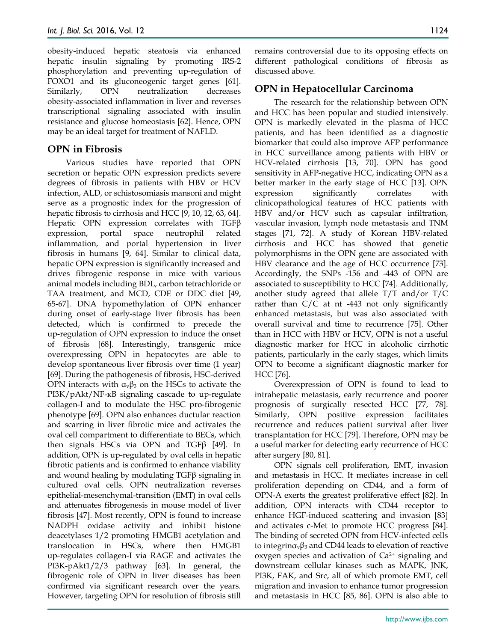obesity-induced hepatic steatosis via enhanced hepatic insulin signaling by promoting IRS-2 phosphorylation and preventing up-regulation of FOXO1 and its gluconeogenic target genes [61]. Similarly, OPN neutralization decreases obesity-associated inflammation in liver and reverses transcriptional signaling associated with insulin resistance and glucose homeostasis [62]. Hence, OPN may be an ideal target for treatment of NAFLD.

## **OPN in Fibrosis**

Various studies have reported that OPN secretion or hepatic OPN expression predicts severe degrees of fibrosis in patients with HBV or HCV infection, ALD, or schistosomiasis mansoni and might serve as a prognostic index for the progression of hepatic fibrosis to cirrhosis and HCC [9, 10, 12, 63, 64]. Hepatic OPN expression correlates with TGFβ expression, portal space neutrophil related inflammation, and portal hypertension in liver fibrosis in humans [9, 64]. Similar to clinical data, hepatic OPN expression is significantly increased and drives fibrogenic response in mice with various animal models including BDL, carbon tetrachloride or TAA treatment, and MCD, CDE or DDC diet [49, 65-67]. DNA hypomethylation of OPN enhancer during onset of early-stage liver fibrosis has been detected, which is confirmed to precede the up-regulation of OPN expression to induce the onset of fibrosis [68]. Interestingly, transgenic mice overexpressing OPN in hepatocytes are able to develop spontaneous liver fibrosis over time (1 year) [69]. During the pathogenesis of fibrosis, HSC-derived OPN interacts with  $α<sub>v</sub>β<sub>3</sub>$  on the HSCs to activate the PI3K/pAkt/NF-κB signaling cascade to up-regulate collagen-I and to modulate the HSC pro-fibrogenic phenotype [69]. OPN also enhances ductular reaction and scarring in liver fibrotic mice and activates the oval cell compartment to differentiate to BECs, which then signals HSCs via OPN and TGFβ [49]. In addition, OPN is up-regulated by oval cells in hepatic fibrotic patients and is confirmed to enhance viability and wound healing by modulating  $TGF\beta$  signaling in cultured oval cells. OPN neutralization reverses epithelial-mesenchymal-transition (EMT) in oval cells and attenuates fibrogenesis in mouse model of liver fibrosis [47]. Most recently, OPN is found to increase NADPH oxidase activity and inhibit histone deacetylases 1/2 promoting HMGB1 acetylation and translocation in HSCs, where then HMGB1 up-regulates collagen-I via RAGE and activates the PI3K-pAkt1/2/3 pathway [63]. In general, the fibrogenic role of OPN in liver diseases has been confirmed via significant research over the years. However, targeting OPN for resolution of fibrosis still

remains controversial due to its opposing effects on different pathological conditions of fibrosis as discussed above.

## **OPN in Hepatocellular Carcinoma**

The research for the relationship between OPN and HCC has been popular and studied intensively. OPN is markedly elevated in the plasma of HCC patients, and has been identified as a diagnostic biomarker that could also improve AFP performance in HCC surveillance among patients with HBV or HCV-related cirrhosis [13, 70]. OPN has good sensitivity in AFP-negative HCC, indicating OPN as a better marker in the early stage of HCC [13]. OPN expression significantly correlates with clinicopathological features of HCC patients with HBV and/or HCV such as capsular infiltration, vascular invasion, lymph node metastasis and TNM stages [71, 72]. A study of Korean HBV-related cirrhosis and HCC has showed that genetic polymorphisms in the OPN gene are associated with HBV clearance and the age of HCC occurrence [73]. Accordingly, the SNPs -156 and -443 of OPN are associated to susceptibility to HCC [74]. Additionally, another study agreed that allele T/T and/or T/C rather than C/C at nt -443 not only significantly enhanced metastasis, but was also associated with overall survival and time to recurrence [75]. Other than in HCC with HBV or HCV, OPN is not a useful diagnostic marker for HCC in alcoholic cirrhotic patients, particularly in the early stages, which limits OPN to become a significant diagnostic marker for HCC [76].

Overexpression of OPN is found to lead to intrahepatic metastasis, early recurrence and poorer prognosis of surgically resected HCC [77, 78]. Similarly, OPN positive expression facilitates recurrence and reduces patient survival after liver transplantation for HCC [79]. Therefore, OPN may be a useful marker for detecting early recurrence of HCC after surgery [80, 81].

OPN signals cell proliferation, EMT, invasion and metastasis in HCC. It mediates increase in cell proliferation depending on CD44, and a form of OPN-A exerts the greatest proliferative effect [82]. In addition, OPN interacts with CD44 receptor to enhance HGF-induced scattering and invasion [83] and activates c-Met to promote HCC progress [84]. The binding of secreted OPN from HCV-infected cells to integring  $\beta_3$  and CD44 leads to elevation of reactive oxygen species and activation of  $Ca<sup>2+</sup>$  signaling and downstream cellular kinases such as MAPK, JNK, PI3K, FAK, and Src, all of which promote EMT, cell migration and invasion to enhance tumor progression and metastasis in HCC [85, 86]. OPN is also able to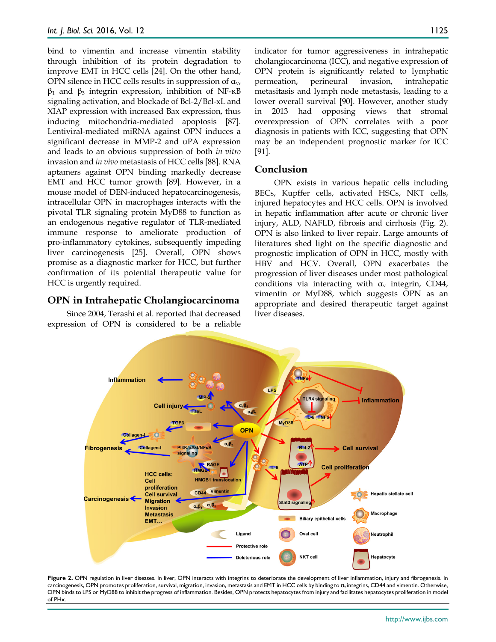bind to vimentin and increase vimentin stability through inhibition of its protein degradation to improve EMT in HCC cells [24]. On the other hand, OPN silence in HCC cells results in suppression of  $a_v$ ,  $β_1$  and  $β_3$  integrin expression, inhibition of NF-κB signaling activation, and blockade of Bcl-2/Bcl-xL and XIAP expression with increased Bax expression, thus inducing mitochondria-mediated apoptosis [87]. Lentiviral-mediated miRNA against OPN induces a significant decrease in MMP-2 and uPA expression and leads to an obvious suppression of both *in vitro* invasion and *in vivo* metastasis of HCC cells [88]. RNA aptamers against OPN binding markedly decrease EMT and HCC tumor growth [89]. However, in a mouse model of DEN-induced hepatocarcinogenesis, intracellular OPN in macrophages interacts with the pivotal TLR signaling protein MyD88 to function as an endogenous negative regulator of TLR-mediated immune response to ameliorate production of pro-inflammatory cytokines, subsequently impeding liver carcinogenesis [25]. Overall, OPN shows promise as a diagnostic marker for HCC, but further confirmation of its potential therapeutic value for HCC is urgently required.

### **OPN in Intrahepatic Cholangiocarcinoma**

Since 2004, Terashi et al. reported that decreased expression of OPN is considered to be a reliable indicator for tumor aggressiveness in intrahepatic cholangiocarcinoma (ICC), and negative expression of OPN protein is significantly related to lymphatic permeation, perineural invasion, intrahepatic metasitasis and lymph node metastasis, leading to a lower overall survival [90]. However, another study in 2013 had opposing views that stromal overexpression of OPN correlates with a poor diagnosis in patients with ICC, suggesting that OPN may be an independent prognostic marker for ICC [91].

### **Conclusion**

OPN exists in various hepatic cells including BECs, Kupffer cells, activated HSCs, NKT cells, injured hepatocytes and HCC cells. OPN is involved in hepatic inflammation after acute or chronic liver injury, ALD, NAFLD, fibrosis and cirrhosis (Fig. 2). OPN is also linked to liver repair. Large amounts of literatures shed light on the specific diagnostic and prognostic implication of OPN in HCC, mostly with HBV and HCV. Overall, OPN exacerbates the progression of liver diseases under most pathological conditions via interacting with  $a<sub>v</sub>$  integrin, CD44, vimentin or MyD88, which suggests OPN as an appropriate and desired therapeutic target against liver diseases.



Figure 2. OPN regulation in liver diseases. In liver, OPN interacts with integrins to deteriorate the development of liver inflammation, injury and fibrogenesis. In carcinogenesis, OPN promotes proliferation, survival, migration, invasion, metastasis and EMT in HCC cells by binding to αv integrins, CD44 and vimentin. Otherwise, OPN binds to LPS or MyD88 to inhibit the progress of inflammation. Besides, OPN protects hepatocytes from injury and facilitates hepatocytes proliferation in model of PHx.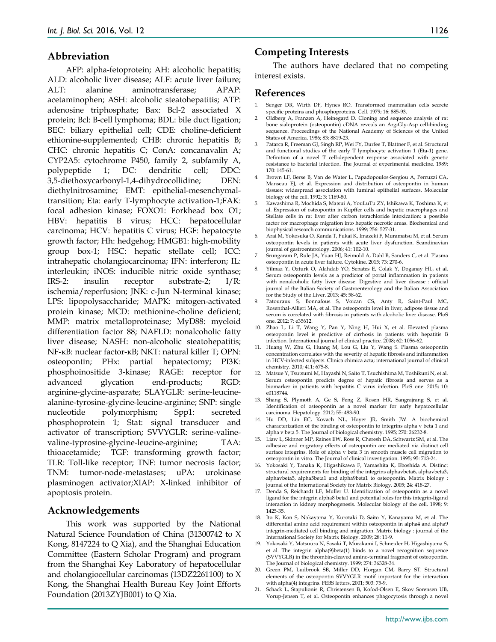#### **Abbreviation**

AFP: alpha-fetoprotein; AH: alcoholic hepatitis; ALD: alcoholic liver disease; ALF: acute liver failure; ALT: alanine aminotransferase; APAP: acetaminophen; ASH: alcoholic steatohepatitis; ATP: adenosine triphosphate; Bax: Bcl-2 associated X protein; Bcl: B-cell lymphoma; BDL: bile duct ligation; BEC: biliary epithelial cell; CDE: choline-deficient ethionine-supplemented; CHB: chronic hepatitis B; CHC: chronic hepatitis C; ConA: concanavalin A; CYP2A5: cytochrome P450, family 2, subfamily A, polypeptide 1; DC: dendritic cell; DDC: 3,5-diethoxycarbonyl-1,4-dihydrocollidine; DEN: diethylnitrosamine; EMT: epithelial-mesenchymaltransition; Eta: early T-lymphocyte activation-1;FAK: focal adhesion kinase; FOXO1: Forkhead box O1; HBV: hepatitis B virus; HCC: hepatocellular carcinoma; HCV: hepatitis C virus; HGF: hepatocyte growth factor; Hh: hedgehog; HMGB1: high-mobility group box-1; HSC: hepatic stellate cell; ICC: intrahepatic cholangiocarcinoma; IFN: interferon; IL: interleukin; iNOS: inducible nitric oxide synthase; IRS-2: insulin receptor substrate-2; I/R: ischemia/reperfusion; JNK: c-Jun N-terminal kinase; LPS: lipopolysaccharide; MAPK: mitogen-activated protein kinase; MCD: methionine-choline deficient; MMP: matrix metalloproteinase; MyD88: myeloid differentiation factor 88; NAFLD: nonalcoholic fatty liver disease; NASH: non-alcoholic steatohepatitis; NF-κB: nuclear factor-κB; NKT: natural killer T; OPN: osteopontin; PHx: partial hepatectomy; PI3K: phosphoinositide 3-kinase; RAGE: receptor for advanced glycation end-products; RGD: arginine-glycine-asparate; SLAYGLR: serine-leucinealanine-tyrosine-glycine-leucine-arginine; SNP: single nucleotide polymorphism; Spp1: secreted phosphoprotein 1; Stat: signal transducer and activator of transcription; SVVYGLR: serine-valinevaline-typrosine-glycine-leucine-arginine; TAA: thioacetamide; TGF: transforming growth factor; TLR: Toll-like receptor; TNF: tumor necrosis factor; TNM: tumor-node-metastases; uPA: urokinase plasminogen activator;XIAP: X-linked inhibitor of apoptosis protein.

#### **Acknowledgements**

This work was supported by the National Natural Science Foundation of China (31300742 to X Kong, 8147224 to Q Xia), and the Shanghai Education Committee (Eastern Scholar Program) and program from the Shanghai Key Laboratory of hepatocellular and cholangiocellular carcinomas (13DZ2261100) to X Kong, the Shanghai Health Bureau Key Joint Efforts Foundation (2013ZYJB001) to Q Xia.

#### 1126

#### **Competing Interests**

The authors have declared that no competing interest exists.

#### **References**

- 1. Senger DR, Wirth DF, Hynes RO. Transformed mammalian cells secrete specific proteins and phosphoproteins. Cell. 1979; 16: 885-93.
- 2. Oldberg A, Franzen A, Heinegard D. Cloning and sequence analysis of rat bone sialoprotein (osteopontin) cDNA reveals an Arg-Gly-Asp cell-binding sequence. Proceedings of the National Academy of Sciences of the United States of America. 1986; 83: 8819-23.
- 3. Patarca R, Freeman GJ, Singh RP, Wei FY, Durfee T, Blattner F, et al. Structural and functional studies of the early T lymphocyte activation 1 (Eta-1) gene. Definition of a novel T cell-dependent response associated with genetic resistance to bacterial infection. The Journal of experimental medicine. 1989; 170: 145-61.
- 4. Brown LF, Berse B, Van de Water L, Papadopoulos-Sergiou A, Perruzzi CA, Manseau EJ, et al. Expression and distribution of osteopontin in human tissues: widespread association with luminal epithelial surfaces. Molecular biology of the cell. 1992; 3: 1169-80.
- 5. Kawashima R, Mochida S, Matsui A, YouLuTu ZY, Ishikawa K, Toshima K, et al. Expression of osteopontin in Kupffer cells and hepatic macrophages and Stellate cells in rat liver after carbon tetrachloride intoxication: a possible factor for macrophage migration into hepatic necrotic areas. Biochemical and biophysical research communications. 1999; 256: 527-31.
- 6. Arai M, Yokosuka O, Kanda T, Fukai K, Imazeki F, Muramatsu M, et al. Serum osteopontin levels in patients with acute liver dysfunction. Scandinavian journal of gastroenterology. 2006; 41: 102-10.
- 7. Srungaram P, Rule JA, Yuan HJ, Reimold A, Dahl B, Sanders C, et al. Plasma osteopontin in acute liver failure. Cytokine. 2015; 73: 270-6.
- 8. Yilmaz Y, Ozturk O, Alahdab YO, Senates E, Colak Y, Doganay HL, et al. Serum osteopontin levels as a predictor of portal inflammation in patients with nonalcoholic fatty liver disease. Digestive and liver disease : official journal of the Italian Society of Gastroenterology and the Italian Association for the Study of the Liver. 2013; 45: 58-62.
- Patouraux S, Bonnafous S, Voican CS, Anty R, Saint-Paul MC, Rosenthal-Allieri MA, et al. The osteopontin level in liver, adipose tissue and serum is correlated with fibrosis in patients with alcoholic liver disease. PloS one. 2012; 7: e35612.
- 10. Zhao L, Li T, Wang Y, Pan Y, Ning H, Hui X, et al. Elevated plasma osteopontin level is predictive of cirrhosis in patients with hepatitis B infection. International journal of clinical practice. 2008; 62: 1056-62.
- 11. Huang W, Zhu G, Huang M, Lou G, Liu Y, Wang S. Plasma osteopontin concentration correlates with the severity of hepatic fibrosis and inflammation in HCV-infected subjects. Clinica chimica acta; international journal of clinical chemistry. 2010; 411: 675-8.
- 12. Matsue Y, Tsutsumi M, Hayashi N, Saito T, Tsuchishima M, Toshikuni N, et al. Serum osteopontin predicts degree of hepatic fibrosis and serves as a biomarker in patients with hepatitis C virus infection. PloS one. 2015; 10: e0118744.
- 13. Shang S, Plymoth A, Ge S, Feng Z, Rosen HR, Sangrajrang S, et al. Identification of osteopontin as a novel marker for early hepatocellular carcinoma. Hepatology. 2012; 55: 483-90.
- 14. Hu DD, Lin EC, Kovach NL, Hoyer JR, Smith JW. A biochemical characterization of the binding of osteopontin to integrins alpha v beta 1 and alpha v beta 5. The Journal of biological chemistry. 1995; 270: 26232-8.
- 15. Liaw L, Skinner MP, Raines EW, Ross R, Cheresh DA, Schwartz SM, et al. The adhesive and migratory effects of osteopontin are mediated via distinct cell surface integrins. Role of alpha v beta 3 in smooth muscle cell migration to osteopontin in vitro. The Journal of clinical investigation. 1995; 95: 713-24.
- 16. Yokosaki Y, Tanaka K, Higashikawa F, Yamashita K, Eboshida A. Distinct structural requirements for binding of the integrins alphavbeta6, alphavbeta3, alphavbeta5, alpha5beta1 and alpha9beta1 to osteopontin. Matrix biology : journal of the International Society for Matrix Biology. 2005; 24: 418-27.
- 17. Denda S, Reichardt LF, Muller U. Identification of osteopontin as a novel ligand for the integrin alpha8 beta1 and potential roles for this integrin-ligand interaction in kidney morphogenesis. Molecular biology of the cell. 1998; 9: 1425-35.
- 18. Ito K, Kon S, Nakayama Y, Kurotaki D, Saito Y, Kanayama M, et al. The differential amino acid requirement within osteopontin in alpha4 and alpha9 integrin-mediated cell binding and migration. Matrix biology : journal of the International Society for Matrix Biology. 2009; 28: 11-9.
- 19. Yokosaki Y, Matsuura N, Sasaki T, Murakami I, Schneider H, Higashiyama S, et al. The integrin alpha(9)beta(1) binds to a novel recognition sequence (SVVYGLR) in the thrombin-cleaved amino-terminal fragment of osteopontin. The Journal of biological chemistry. 1999; 274: 36328-34.
- 20. Green PM, Ludbrook SB, Miller DD, Horgan CM, Barry ST. Structural elements of the osteopontin SVVYGLR motif important for the interaction with alpha(4) integrins. FEBS letters. 2001; 503: 75-9.
- 21. Schack L, Stapulionis R, Christensen B, Kofod-Olsen E, Skov Sorensen UB, Vorup-Jensen T, et al. Osteopontin enhances phagocytosis through a novel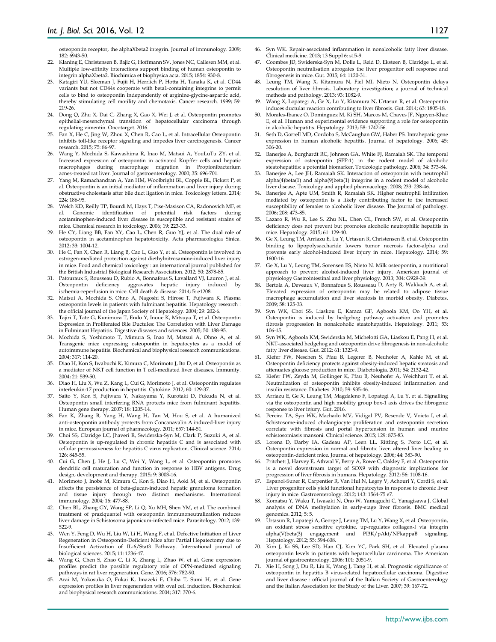osteopontin receptor, the alphaXbeta2 integrin. Journal of immunology. 2009; 182: 6943-50.

- 22. Klaning E, Christensen B, Bajic G, Hoffmann SV, Jones NC, Callesen MM, et al. Multiple low-affinity interactions support binding of human osteopontin to integrin alphaXbeta2. Biochimica et biophysica acta. 2015; 1854: 930-8.
- 23. Katagiri YU, Sleeman J, Fujii H, Herrlich P, Hotta H, Tanaka K, et al. CD44 variants but not CD44s cooperate with beta1-containing integrins to permit cells to bind to osteopontin independently of arginine-glycine-aspartic acid, thereby stimulating cell motility and chemotaxis. Cancer research. 1999; 59: 219-26.
- 24. Dong Q, Zhu X, Dai C, Zhang X, Gao X, Wei J, et al. Osteopontin promotes epithelial-mesenchymal transition of hepatocellular carcinoma through regulating vimentin. Oncotarget. 2016.
- 25. Fan X, He C, Jing W, Zhou X, Chen R, Cao L, et al. Intracellular Osteopontin inhibits toll-like receptor signaling and impedes liver carcinogenesis. Cancer research. 2015; 75: 86-97.
- 26. Wang Y, Mochida S, Kawashima R, Inao M, Matsui A, YouLuTu ZY, et al. Increased expression of osteopontin in activated Kupffer cells and hepatic macrophages during macrophage migration in Propionibacterium acnes-treated rat liver. Journal of gastroenterology. 2000; 35: 696-701.
- 27. Yang M, Ramachandran A, Yan HM, Woolbright BL, Copple BL, Fickert P, et al. Osteopontin is an initial mediator of inflammation and liver injury during obstructive cholestasis after bile duct ligation in mice. Toxicology letters. 2014; 224: 186-95.
- 28. Welch KD, Reilly TP, Bourdi M, Hays T, Pise-Masison CA, Radonovich MF, et al. Genomic identification of potential risk factors acetaminophen-induced liver disease in susceptible and resistant strains of mice. Chemical research in toxicology. 2006; 19: 223-33.
- 29. He CY, Liang BB, Fan XY, Cao L, Chen R, Guo YJ, et al. The dual role of osteopontin in acetaminophen hepatotoxicity. Acta pharmacologica Sinica. 2012; 33: 1004-12.
- 30. He C, Fan X, Chen R, Liang B, Cao L, Guo Y, et al. Osteopontin is involved in estrogen-mediated protection against diethylnitrosamine-induced liver injury in mice. Food and chemical toxicology : an international journal published for the British Industrial Biological Research Association. 2012; 50: 2878-85.
- 31. Patouraux S, Rousseau D, Rubio A, Bonnafous S, Lavallard VJ, Lauron J, et al. Osteopontin deficiency aggravates hepatic injury induced by ischemia-reperfusion in mice. Cell death & disease. 2014; 5: e1208.
- 32. Matsui A, Mochida S, Ohno A, Nagoshi S, Hirose T, Fujiwara K. Plasma osteopontin levels in patients with fulminant hepatitis. Hepatology research : the official journal of the Japan Society of Hepatology. 2004; 29: 202-6.
- 33. Tajiri T, Tate G, Kunimura T, Endo Y, Inoue K, Mitsuya T, et al. Osteopontin Expression in Proliferated Bile Ductules: The Correlation with Liver Damage in Fulminant Hepatitis. Digestive diseases and sciences. 2005; 50: 188-95.
- 34. Mochida S, Yoshimoto T, Mimura S, Inao M, Matsui A, Ohno A, et al. Transgenic mice expressing osteopontin in hepatocytes as a model of autoimmune hepatitis. Biochemical and biophysical research communications. 2004; 317: 114-20.
- 35. Diao H, Kon S, Iwabuchi K, Kimura C, Morimoto J, Ito D, et al. Osteopontin as a mediator of NKT cell function in T cell-mediated liver diseases. Immunity. 2004; 21: 539-50.
- 36. Diao H, Liu X, Wu Z, Kang L, Cui G, Morimoto J, et al. Osteopontin regulates interleukin-17 production in hepatitis. Cytokine. 2012; 60: 129-37.
- 37. Saito Y, Kon S, Fujiwara Y, Nakayama Y, Kurotaki D, Fukuda N, et al. Osteopontin small interfering RNA protects mice from fulminant hepatitis. Human gene therapy. 2007; 18: 1205-14.
- 38. Fan K, Zhang B, Yang H, Wang H, Tan M, Hou S, et al. A humanized anti-osteopontin antibody protects from Concanavalin A induced-liver injury in mice. European journal of pharmacology. 2011; 657: 144-51.
- 39. Choi SS, Claridge LC, Jhaveri R, Swiderska-Syn M, Clark P, Suzuki A, et al. Osteopontin is up-regulated in chronic hepatitis C and is associated with cellular permissiveness for hepatitis C virus replication. Clinical science. 2014; 126: 845-55.
- 40. Cui G, Chen J, He J, Lu C, Wei Y, Wang L, et al. Osteopontin promotes dendritic cell maturation and function in response to HBV antigens. Drug design, development and therapy. 2015; 9: 3003-16.
- 41. Morimoto J, Inobe M, Kimura C, Kon S, Diao H, Aoki M, et al. Osteopontin affects the persistence of beta-glucan-induced hepatic granuloma formation and tissue injury through two distinct mechanisms. International immunology. 2004; 16: 477-88.
- 42. Chen BL, Zhang GY, Wang SP, Li Q, Xu MH, Shen YM, et al. The combined treatment of praziquantel with osteopontin immunoneutralization reduces liver damage in Schistosoma japonicum-infected mice. Parasitology. 2012; 139: 522-9.
- 43. Wen Y, Feng D, Wu H, Liu W, Li H, Wang F, et al. Defective Initiation of Liver Regeneration in Osteopontin-Deficient Mice after Partial Hepatectomy due to Insufficient Activation of IL-6/Stat3 Pathway. International journal of biological sciences. 2015; 11: 1236-47.
- 44. Wang G, Chen S, Zhao C, Li X, Zhang L, Zhao W, et al. Gene expression profiles predict the possible regulatory role of OPN-mediated signaling pathways in rat liver regeneration. Gene. 2016; 576: 782-90.
- 45. Arai M, Yokosuka O, Fukai K, Imazeki F, Chiba T, Sumi H, et al. Gene expression profiles in liver regeneration with oval cell induction. Biochemical and biophysical research communications. 2004; 317: 370-6.
- 46. Syn WK. Repair-associated inflammation in nonalcoholic fatty liver disease. Clinical medicine. 2013; 13 Suppl 6: s15-9.
- 47. Coombes JD, Swiderska-Syn M, Dolle L, Reid D, Eksteen B, Claridge L, et al. Osteopontin neutralisation abrogates the liver progenitor cell response and fibrogenesis in mice. Gut. 2015; 64: 1120-31.
- 48. Leung TM, Wang X, Kitamura N, Fiel MI, Nieto N. Osteopontin delays resolution of liver fibrosis. Laboratory investigation; a journal of technical methods and pathology. 2013; 93: 1082-9.
- 49. Wang X, Lopategi A, Ge X, Lu Y, Kitamura N, Urtasun R, et al. Osteopontin induces ductular reaction contributing to liver fibrosis. Gut. 2014; 63: 1805-18.
- Morales-Ibanez O, Dominguez M, Ki SH, Marcos M, Chaves JF, Nguyen-Khac E, et al. Human and experimental evidence supporting a role for osteopontin in alcoholic hepatitis. Hepatology. 2013; 58: 1742-56.
- 51. Seth D, Gorrell MD, Cordoba S, McCaughan GW, Haber PS. Intrahepatic gene expression in human alcoholic hepatitis. Journal of hepatology. 2006; 45: 306-20.
- 52. Banerjee A, Burghardt RC, Johnson GA, White FJ, Ramaiah SK. The temporal expression of osteopontin (SPP-1) in the rodent model of alcoholic steatohepatitis: a potential biomarker. Toxicologic pathology. 2006; 34: 373-84.
- 53. Baneriee A, Lee IH, Ramaiah SK. Interaction of osteopontin with neutrophil alpha(4)beta(1) and alpha(9)beta(1) integrins in a rodent model of alcoholic liver disease. Toxicology and applied pharmacology. 2008; 233: 238-46.
- 54. Banerjee A, Apte UM, Smith R, Ramaiah SK. Higher neutrophil infiltration mediated by osteopontin is a likely contributing factor to the increased susceptibility of females to alcoholic liver disease. The Journal of pathology. 2006; 208: 473-85.
- 55. Lazaro R, Wu R, Lee S, Zhu NL, Chen CL, French SW, et al. Osteopontin deficiency does not prevent but promotes alcoholic neutrophilic hepatitis in mice. Hepatology. 2015; 61: 129-40.
- 56. Ge X, Leung TM, Arriazu E, Lu Y, Urtasun R, Christensen B, et al. Osteopontin binding to lipopolysaccharide lowers tumor necrosis factor-alpha and prevents early alcohol-induced liver injury in mice. Hepatology. 2014; 59: 1600-16.
- 57. Ge X, Lu Y, Leung TM, Sorensen ES, Nieto N. Milk osteopontin, a nutritional approach to prevent alcohol-induced liver injury. American journal of physiology Gastrointestinal and liver physiology. 2013; 304: G929-39.
- 58. Bertola A, Deveaux V, Bonnafous S, Rousseau D, Anty R, Wakkach A, et al. Elevated expression of osteopontin may be related to adipose tissue macrophage accumulation and liver steatosis in morbid obesity. Diabetes. 2009; 58: 125-33.
- 59. Syn WK, Choi SS, Liaskou E, Karaca GF, Agboola KM, Oo YH, et al. Osteopontin is induced by hedgehog pathway activation and promotes fibrosis progression in nonalcoholic steatohepatitis. Hepatology. 2011; 53: 106-15.
- 60. Syn WK, Agboola KM, Swiderska M, Michelotti GA, Liaskou E, Pang H, et al. NKT-associated hedgehog and osteopontin drive fibrogenesis in non-alcoholic fatty liver disease. Gut. 2012; 61: 1323-9.
- 61. Kiefer FW, Neschen S, Pfau B, Legerer B, Neuhofer A, Kahle M, et al. Osteopontin deficiency protects against obesity-induced hepatic steatosis and attenuates glucose production in mice. Diabetologia. 2011; 54: 2132-42.
- 62. Kiefer FW, Zeyda M, Gollinger K, Pfau B, Neuhofer A, Weichhart T, et al. Neutralization of osteopontin inhibits obesity-induced inflammation and insulin resistance. Diabetes. 2010; 59: 935-46.
- 63. Arriazu E, Ge X, Leung TM, Magdaleno F, Lopategi A, Lu Y, et al. Signalling via the osteopontin and high mobility group box-1 axis drives the fibrogenic response to liver injury. Gut. 2016.
- 64. Pereira TA, Syn WK, Machado MV, Vidigal PV, Resende V, Voieta I, et al. Schistosome-induced cholangiocyte proliferation and osteopontin secretion correlate with fibrosis and portal hypertension in human and murine schistosomiasis mansoni. Clinical science. 2015; 129: 875-83.
- 65. Lorena D, Darby IA, Gadeau AP, Leen LL, Rittling S, Porto LC, et al. Osteopontin expression in normal and fibrotic liver. altered liver healing in osteopontin-deficient mice. Journal of hepatology. 2006; 44: 383-90.
- Pritchett J, Harvey E, Athwal V, Berry A, Rowe C, Oakley F, et al. Osteopontin is a novel downstream target of SOX9 with diagnostic implications for progression of liver fibrosis in humans. Hepatology. 2012; 56: 1108-16.
- 67. Espanol-Suner R, Carpentier R, Van Hul N, Legry V, Achouri Y, Cordi S, et al. Liver progenitor cells yield functional hepatocytes in response to chronic liver injury in mice. Gastroenterology. 2012; 143: 1564-75 e7.
- 68. Komatsu Y, Waku T, Iwasaki N, Ono W, Yamaguchi C, Yanagisawa J. Global analysis of DNA methylation in early-stage liver fibrosis. BMC medical genomics. 2012; 5: 5.
- 69. Urtasun R, Lopategi A, George J, Leung TM, Lu Y, Wang X, et al. Osteopontin, an oxidant stress sensitive cytokine, up-regulates collagen-I via integrin alpha(V)<br>beta(3)  $\,$  engagement  $\,$  and<br> $\,$  Pl3K/pAkt/NFkappaB  $\,$  signaling. alpha(V)beta(3) engagement and PI3K/pAkt/NFkappaB signaling. Hepatology. 2012; 55: 594-608.
- 70. Kim J, Ki SS, Lee SD, Han CJ, Kim YC, Park SH, et al. Elevated plasma osteopontin levels in patients with hepatocellular carcinoma. The American journal of gastroenterology. 2006; 101: 2051-9.
- 71. Xie H, Song J, Du R, Liu K, Wang J, Tang H, et al. Prognostic significance of osteopontin in hepatitis B virus-related hepatocellular carcinoma. Digestive and liver disease : official journal of the Italian Society of Gastroenterology and the Italian Association for the Study of the Liver. 2007; 39: 167-72.